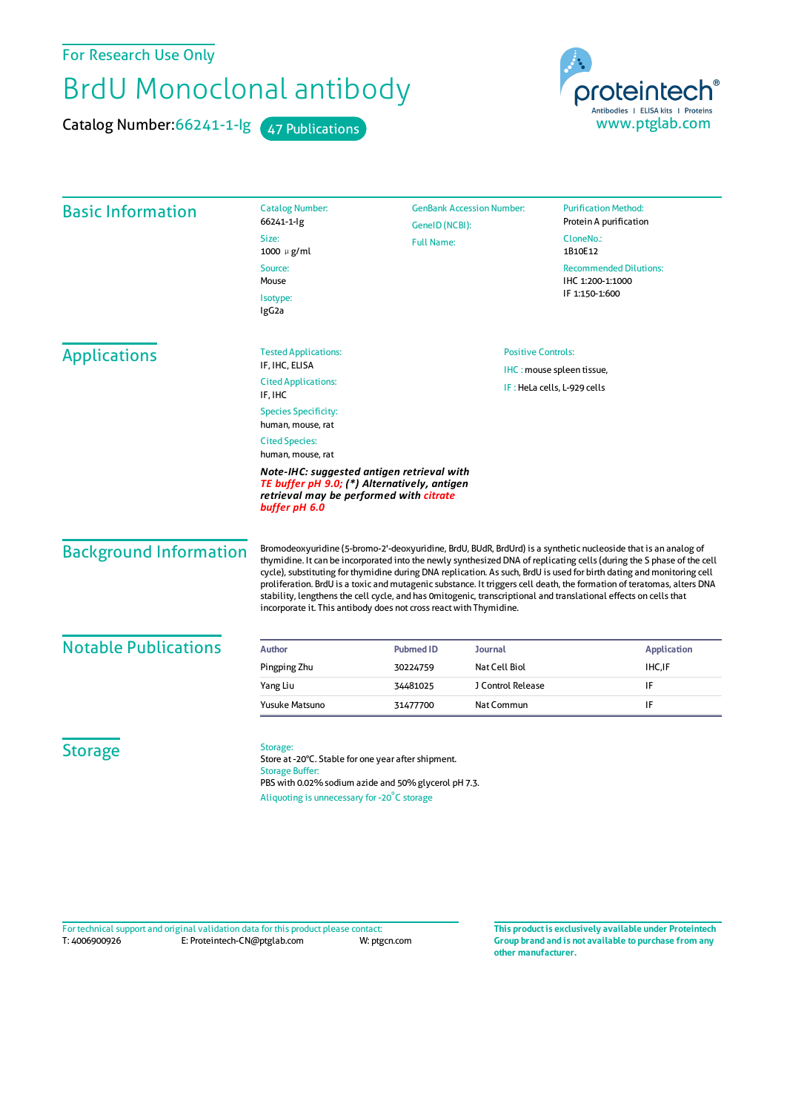## For Research Use Only

## BrdU Monoclonal antibody

Catalog Number: 66241-1-lg 47 Publications



|                               | <b>Catalog Number:</b><br><b>GenBank Accession Number:</b><br><b>Purification Method:</b>                                                                                                                                                                                                                                                                                                                                                                                                                                                                                                                                                                                            |                             |                                                        |                |                                                |  |
|-------------------------------|--------------------------------------------------------------------------------------------------------------------------------------------------------------------------------------------------------------------------------------------------------------------------------------------------------------------------------------------------------------------------------------------------------------------------------------------------------------------------------------------------------------------------------------------------------------------------------------------------------------------------------------------------------------------------------------|-----------------------------|--------------------------------------------------------|----------------|------------------------------------------------|--|
| <b>Basic Information</b>      | 66241-1-lg                                                                                                                                                                                                                                                                                                                                                                                                                                                                                                                                                                                                                                                                           |                             | GeneID (NCBI):<br><b>Full Name:</b>                    |                | Protein A purification<br>CloneNo.:<br>1B10E12 |  |
|                               | Size:<br>1000 µ g/ml                                                                                                                                                                                                                                                                                                                                                                                                                                                                                                                                                                                                                                                                 |                             |                                                        |                |                                                |  |
|                               | Source:<br>Mouse                                                                                                                                                                                                                                                                                                                                                                                                                                                                                                                                                                                                                                                                     |                             | <b>Recommended Dilutions:</b><br>IHC 1:200-1:1000      |                |                                                |  |
|                               | Isotype:<br>IgG <sub>2a</sub>                                                                                                                                                                                                                                                                                                                                                                                                                                                                                                                                                                                                                                                        |                             |                                                        | IF 1:150-1:600 |                                                |  |
| <b>Applications</b>           | <b>Tested Applications:</b><br>IF, IHC, ELISA                                                                                                                                                                                                                                                                                                                                                                                                                                                                                                                                                                                                                                        |                             | <b>Positive Controls:</b><br>IHC: mouse spleen tissue, |                |                                                |  |
|                               | <b>Cited Applications:</b><br>IF, IHC                                                                                                                                                                                                                                                                                                                                                                                                                                                                                                                                                                                                                                                | IF: HeLa cells, L-929 cells |                                                        |                |                                                |  |
|                               | <b>Species Specificity:</b><br>human, mouse, rat                                                                                                                                                                                                                                                                                                                                                                                                                                                                                                                                                                                                                                     |                             |                                                        |                |                                                |  |
|                               | <b>Cited Species:</b><br>human, mouse, rat                                                                                                                                                                                                                                                                                                                                                                                                                                                                                                                                                                                                                                           |                             |                                                        |                |                                                |  |
|                               | Note-IHC: suggested antigen retrieval with<br>TE buffer pH 9.0; (*) Alternatively, antigen<br>retrieval may be performed with citrate<br>buffer pH 6.0                                                                                                                                                                                                                                                                                                                                                                                                                                                                                                                               |                             |                                                        |                |                                                |  |
| <b>Background Information</b> | Bromodeoxyuridine (5-bromo-2'-deoxyuridine, BrdU, BUdR, BrdUrd) is a synthetic nucleoside that is an analog of<br>thymidine. It can be incorporated into the newly synthesized DNA of replicating cells (during the S phase of the cell<br>cycle), substituting for thymidine during DNA replication. As such, BrdU is used for birth dating and monitoring cell<br>proliferation. BrdU is a toxic and mutagenic substance. It triggers cell death, the formation of teratomas, alters DNA<br>stability, lengthens the cell cycle, and has Omitogenic, transcriptional and translational effects on cells that<br>incorporate it. This antibody does not cross react with Thymidine. |                             |                                                        |                |                                                |  |
| <b>Notable Publications</b>   | Author                                                                                                                                                                                                                                                                                                                                                                                                                                                                                                                                                                                                                                                                               | <b>Pubmed ID</b>            | Journal                                                |                | <b>Application</b>                             |  |
|                               | Pingping Zhu                                                                                                                                                                                                                                                                                                                                                                                                                                                                                                                                                                                                                                                                         | 30224759                    | Nat Cell Biol                                          |                | <b>IHC, IF</b>                                 |  |
|                               | Yang Liu                                                                                                                                                                                                                                                                                                                                                                                                                                                                                                                                                                                                                                                                             | 34481025                    | J Control Release                                      | IF             |                                                |  |
|                               | Yusuke Matsuno                                                                                                                                                                                                                                                                                                                                                                                                                                                                                                                                                                                                                                                                       | 31477700                    | Nat Commun                                             | IF             |                                                |  |
| <b>Storage</b>                | Storage:<br>Store at -20°C. Stable for one year after shipment.<br><b>Storage Buffer:</b><br>PBS with 0.02% sodium azide and 50% glycerol pH 7.3.<br>Aliquoting is unnecessary for -20°C storage                                                                                                                                                                                                                                                                                                                                                                                                                                                                                     |                             |                                                        |                |                                                |  |

T: 4006900926 E: Proteintech-CN@ptglab.com W: ptgcn.com Fortechnical support and original validation data forthis product please contact: **This productis exclusively available under Proteintech**

**Group brand and is not available to purchase from any other manufacturer.**